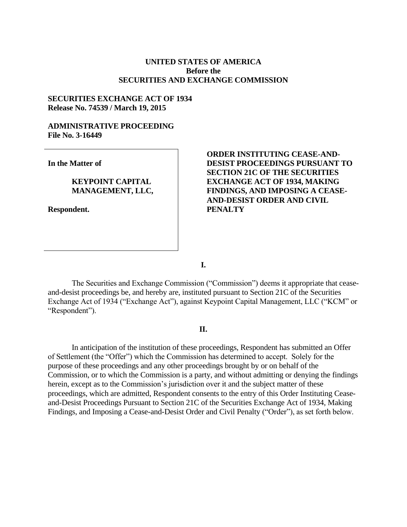# **UNITED STATES OF AMERICA Before the SECURITIES AND EXCHANGE COMMISSION**

## **SECURITIES EXCHANGE ACT OF 1934 Release No. 74539 / March 19, 2015**

# **ADMINISTRATIVE PROCEEDING File No. 3-16449**

**In the Matter of**

# **KEYPOINT CAPITAL MANAGEMENT, LLC,**

**Respondent.**

# **ORDER INSTITUTING CEASE-AND-DESIST PROCEEDINGS PURSUANT TO SECTION 21C OF THE SECURITIES EXCHANGE ACT OF 1934, MAKING FINDINGS, AND IMPOSING A CEASE-AND-DESIST ORDER AND CIVIL PENALTY**

**I.**

The Securities and Exchange Commission ("Commission") deems it appropriate that ceaseand-desist proceedings be, and hereby are, instituted pursuant to Section 21C of the Securities Exchange Act of 1934 ("Exchange Act"), against Keypoint Capital Management, LLC ("KCM" or "Respondent").

## **II.**

In anticipation of the institution of these proceedings, Respondent has submitted an Offer of Settlement (the "Offer") which the Commission has determined to accept. Solely for the purpose of these proceedings and any other proceedings brought by or on behalf of the Commission, or to which the Commission is a party, and without admitting or denying the findings herein, except as to the Commission's jurisdiction over it and the subject matter of these proceedings, which are admitted, Respondent consents to the entry of this Order Instituting Ceaseand-Desist Proceedings Pursuant to Section 21C of the Securities Exchange Act of 1934, Making Findings, and Imposing a Cease-and-Desist Order and Civil Penalty ("Order"), as set forth below.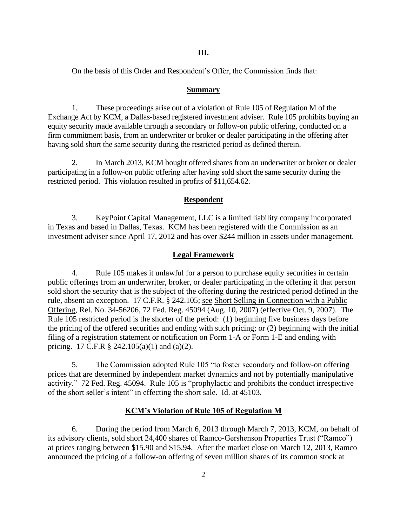On the basis of this Order and Respondent's Offer, the Commission finds that:

#### **Summary**

1. These proceedings arise out of a violation of Rule 105 of Regulation M of the Exchange Act by KCM, a Dallas-based registered investment adviser. Rule 105 prohibits buying an equity security made available through a secondary or follow-on public offering, conducted on a firm commitment basis, from an underwriter or broker or dealer participating in the offering after having sold short the same security during the restricted period as defined therein.

2. In March 2013, KCM bought offered shares from an underwriter or broker or dealer participating in a follow-on public offering after having sold short the same security during the restricted period. This violation resulted in profits of \$11,654.62.

#### **Respondent**

3. KeyPoint Capital Management, LLC is a limited liability company incorporated in Texas and based in Dallas, Texas. KCM has been registered with the Commission as an investment adviser since April 17, 2012 and has over \$244 million in assets under management.

#### **Legal Framework**

4. Rule 105 makes it unlawful for a person to purchase equity securities in certain public offerings from an underwriter, broker, or dealer participating in the offering if that person sold short the security that is the subject of the offering during the restricted period defined in the rule, absent an exception. 17 C.F.R. § 242.105; see Short Selling in Connection with a Public Offering, Rel. No. 34-56206, 72 Fed. Reg. 45094 (Aug. 10, 2007) (effective Oct. 9, 2007). The Rule 105 restricted period is the shorter of the period: (1) beginning five business days before the pricing of the offered securities and ending with such pricing; or (2) beginning with the initial filing of a registration statement or notification on Form 1-A or Form 1-E and ending with pricing. 17 C.F.R § 242.105(a)(1) and (a)(2).

5. The Commission adopted Rule 105 "to foster secondary and follow-on offering prices that are determined by independent market dynamics and not by potentially manipulative activity." 72 Fed. Reg. 45094. Rule 105 is "prophylactic and prohibits the conduct irrespective of the short seller's intent" in effecting the short sale. Id. at 45103.

## **KCM's Violation of Rule 105 of Regulation M**

6. During the period from March 6, 2013 through March 7, 2013, KCM, on behalf of its advisory clients, sold short 24,400 shares of Ramco-Gershenson Properties Trust ("Ramco") at prices ranging between \$15.90 and \$15.94. After the market close on March 12, 2013, Ramco announced the pricing of a follow-on offering of seven million shares of its common stock at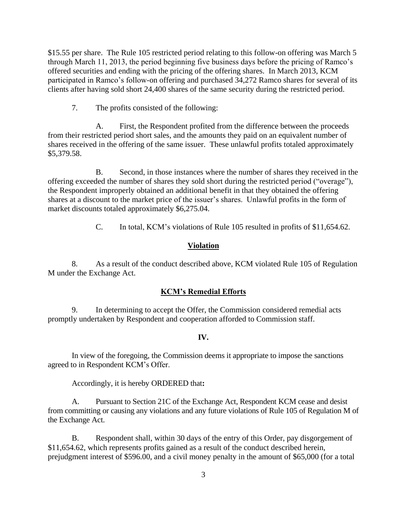\$15.55 per share. The Rule 105 restricted period relating to this follow-on offering was March 5 through March 11, 2013, the period beginning five business days before the pricing of Ramco's offered securities and ending with the pricing of the offering shares. In March 2013, KCM participated in Ramco's follow-on offering and purchased 34,272 Ramco shares for several of its clients after having sold short 24,400 shares of the same security during the restricted period.

7. The profits consisted of the following:

A. First, the Respondent profited from the difference between the proceeds from their restricted period short sales, and the amounts they paid on an equivalent number of shares received in the offering of the same issuer. These unlawful profits totaled approximately \$5,379.58.

B. Second, in those instances where the number of shares they received in the offering exceeded the number of shares they sold short during the restricted period ("overage"), the Respondent improperly obtained an additional benefit in that they obtained the offering shares at a discount to the market price of the issuer's shares. Unlawful profits in the form of market discounts totaled approximately \$6,275.04.

C. In total, KCM's violations of Rule 105 resulted in profits of \$11,654.62.

## **Violation**

8. As a result of the conduct described above, KCM violated Rule 105 of Regulation M under the Exchange Act.

#### **KCM's Remedial Efforts**

9. In determining to accept the Offer, the Commission considered remedial acts promptly undertaken by Respondent and cooperation afforded to Commission staff.

#### **IV.**

In view of the foregoing, the Commission deems it appropriate to impose the sanctions agreed to in Respondent KCM's Offer.

Accordingly, it is hereby ORDERED that**:**

A. Pursuant to Section 21C of the Exchange Act, Respondent KCM cease and desist from committing or causing any violations and any future violations of Rule 105 of Regulation M of the Exchange Act.

B. Respondent shall, within 30 days of the entry of this Order, pay disgorgement of \$11,654.62, which represents profits gained as a result of the conduct described herein, prejudgment interest of \$596.00, and a civil money penalty in the amount of \$65,000 (for a total